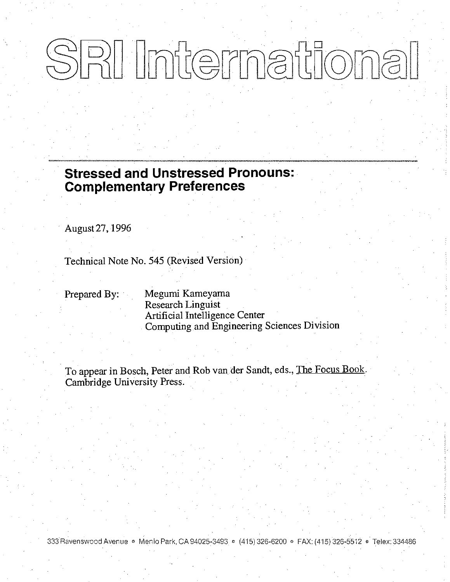# SRI International

**Stressed and Unstressed Pronouns: Complementary Preferences** 

August 27, 1996

Technical Note No. 545 (Revised Version)

Prepared By:

Megumi Kameyama Research Linguist Artificial Intelligence Center Computing and Engineering Sciences Division

To appear in Bosch, Peter and Rob van der Sandt, eds., The Focus Book. Cambridge University Press.

333 Ravenswood Avenue · Menio Park, CA 94025-3493 · (415) 326-6200 · FAX: (415) 326-5512 · Telex: 334486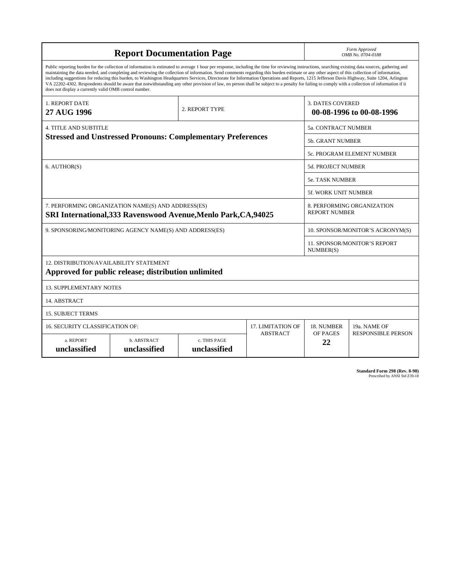| <b>Report Documentation Page</b>                                                                                                                                                                                                                                                                                                                                                                                                                                                                                                                                                                                                                                                                                                                                                                                                                                   |                             |                              |                                                     |                | Form Approved<br>OMB No. 0704-0188                 |  |
|--------------------------------------------------------------------------------------------------------------------------------------------------------------------------------------------------------------------------------------------------------------------------------------------------------------------------------------------------------------------------------------------------------------------------------------------------------------------------------------------------------------------------------------------------------------------------------------------------------------------------------------------------------------------------------------------------------------------------------------------------------------------------------------------------------------------------------------------------------------------|-----------------------------|------------------------------|-----------------------------------------------------|----------------|----------------------------------------------------|--|
| Public reporting burden for the collection of information is estimated to average 1 hour per response, including the time for reviewing instructions, searching existing data sources, gathering and<br>maintaining the data needed, and completing and reviewing the collection of information. Send comments regarding this burden estimate or any other aspect of this collection of information,<br>including suggestions for reducing this burden, to Washington Headquarters Services, Directorate for Information Operations and Reports, 1215 Jefferson Davis Highway, Suite 1204, Arlington<br>VA 22202-4302. Respondents should be aware that notwithstanding any other provision of law, no person shall be subject to a penalty for failing to comply with a collection of information if it<br>does not display a currently valid OMB control number. |                             |                              |                                                     |                |                                                    |  |
| <b>1. REPORT DATE</b><br>27 AUG 1996                                                                                                                                                                                                                                                                                                                                                                                                                                                                                                                                                                                                                                                                                                                                                                                                                               | 2. REPORT TYPE              |                              | <b>3. DATES COVERED</b><br>00-08-1996 to 00-08-1996 |                |                                                    |  |
| <b>4. TITLE AND SUBTITLE</b>                                                                                                                                                                                                                                                                                                                                                                                                                                                                                                                                                                                                                                                                                                                                                                                                                                       |                             |                              |                                                     |                | 5a. CONTRACT NUMBER                                |  |
| <b>Stressed and Unstressed Pronouns: Complementary Preferences</b>                                                                                                                                                                                                                                                                                                                                                                                                                                                                                                                                                                                                                                                                                                                                                                                                 |                             |                              |                                                     |                | <b>5b. GRANT NUMBER</b>                            |  |
|                                                                                                                                                                                                                                                                                                                                                                                                                                                                                                                                                                                                                                                                                                                                                                                                                                                                    |                             |                              |                                                     |                | <b>5c. PROGRAM ELEMENT NUMBER</b>                  |  |
| 6. AUTHOR(S)                                                                                                                                                                                                                                                                                                                                                                                                                                                                                                                                                                                                                                                                                                                                                                                                                                                       |                             |                              |                                                     |                | 5d. PROJECT NUMBER                                 |  |
|                                                                                                                                                                                                                                                                                                                                                                                                                                                                                                                                                                                                                                                                                                                                                                                                                                                                    |                             |                              |                                                     |                | <b>5e. TASK NUMBER</b>                             |  |
|                                                                                                                                                                                                                                                                                                                                                                                                                                                                                                                                                                                                                                                                                                                                                                                                                                                                    |                             |                              |                                                     |                | <b>5f. WORK UNIT NUMBER</b>                        |  |
| 7. PERFORMING ORGANIZATION NAME(S) AND ADDRESS(ES)<br>SRI International, 333 Ravenswood Avenue, Menlo Park, CA, 94025                                                                                                                                                                                                                                                                                                                                                                                                                                                                                                                                                                                                                                                                                                                                              |                             |                              |                                                     |                | 8. PERFORMING ORGANIZATION<br><b>REPORT NUMBER</b> |  |
| 9. SPONSORING/MONITORING AGENCY NAME(S) AND ADDRESS(ES)                                                                                                                                                                                                                                                                                                                                                                                                                                                                                                                                                                                                                                                                                                                                                                                                            |                             |                              |                                                     |                | 10. SPONSOR/MONITOR'S ACRONYM(S)                   |  |
|                                                                                                                                                                                                                                                                                                                                                                                                                                                                                                                                                                                                                                                                                                                                                                                                                                                                    |                             |                              |                                                     |                | <b>11. SPONSOR/MONITOR'S REPORT</b><br>NUMBER(S)   |  |
| 12. DISTRIBUTION/AVAILABILITY STATEMENT<br>Approved for public release; distribution unlimited                                                                                                                                                                                                                                                                                                                                                                                                                                                                                                                                                                                                                                                                                                                                                                     |                             |                              |                                                     |                |                                                    |  |
| <b>13. SUPPLEMENTARY NOTES</b>                                                                                                                                                                                                                                                                                                                                                                                                                                                                                                                                                                                                                                                                                                                                                                                                                                     |                             |                              |                                                     |                |                                                    |  |
| 14. ABSTRACT                                                                                                                                                                                                                                                                                                                                                                                                                                                                                                                                                                                                                                                                                                                                                                                                                                                       |                             |                              |                                                     |                |                                                    |  |
| <b>15. SUBJECT TERMS</b>                                                                                                                                                                                                                                                                                                                                                                                                                                                                                                                                                                                                                                                                                                                                                                                                                                           |                             |                              |                                                     |                |                                                    |  |
| 16. SECURITY CLASSIFICATION OF:                                                                                                                                                                                                                                                                                                                                                                                                                                                                                                                                                                                                                                                                                                                                                                                                                                    | <b>17. LIMITATION OF</b>    | 18. NUMBER                   | 19a. NAME OF                                        |                |                                                    |  |
| a. REPORT<br>unclassified                                                                                                                                                                                                                                                                                                                                                                                                                                                                                                                                                                                                                                                                                                                                                                                                                                          | b. ABSTRACT<br>unclassified | c. THIS PAGE<br>unclassified | <b>ABSTRACT</b>                                     | OF PAGES<br>22 | <b>RESPONSIBLE PERSON</b>                          |  |

**Standard Form 298 (Rev. 8-98)**<br>Prescribed by ANSI Std Z39-18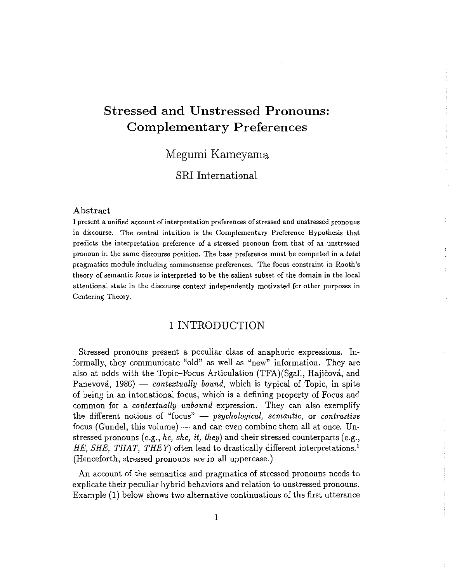# **Stressed and Unstressed Pronouns: Complementary Preferences**

## Megumi Kameyama

### **SRI** International

#### Abstract

I present a unified account of interpretation preferences of stressed and unstressed pronouns in discourse. The central intuition is the Complementary Preference Hypothesis that predicts the interpretation preference of a stressed pronoun from that of an unstressed pronoun in the same discourse position. The base preference must be computed in a total pragmatics module including commonsense preferences. The focus constraint in Rooth's theory of semantic focus is interpreted to be the salient subset of the domain in the local attentional state in the discourse context independently motivated for other purposes in Centering Theory.

#### 1 INTRODUCTION

Stressed pronouns present a peculiar class of anaphoric expressions. Informally, they communicate "old" as well as "new" information. They are also at odds with the Topic-Focus Articulation (TFA)(Sgall, Hajičová, and Panevová, 1986) — contextually bound, which is typical of Topic, in spite of being in an intonational focus, which is a defining property of Focus and common for a *contextually unbound* expression. They can also exemplify the different notions of "focus"  $-$  psychological, semantic, or contrastive focus (Gundel, this volume) — and can even combine them all at once. Unstressed pronouns (e.g., he, she, it, they) and their stressed counterparts (e.g., HE, SHE, THAT, THEY) often lead to drastically different interpretations.<sup>1</sup> (Henceforth, stressed pronouns are in all uppercase.)

An account of the semantics and pragmatics of stressed pronouns needs to explicate their peculiar hybrid behaviors and relation to unstressed pronouns. Example (1) below shows two alternative continuations of the first utterance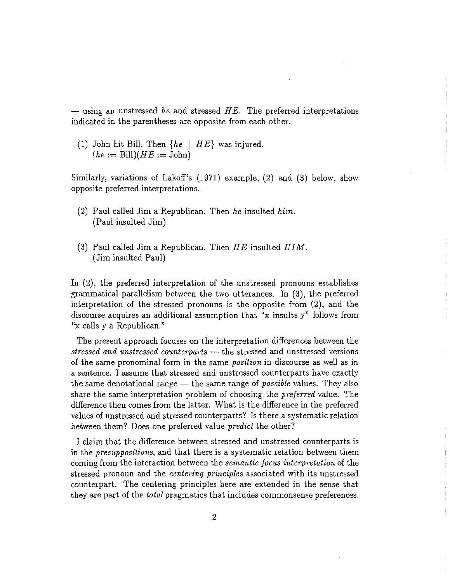— using an unstressed he and stressed  $HE$ . The preferred interpretations indicated in the parentheses are opposite from each other.

(1) John hit Bill. Then  $\{he \mid HE\}$  was injured.  $(he := Bill)(HE := John)$ 

Similarly, variations of Lakoff's (1971) example, (2) and (3) below, show opposite preferred interpretations.

- $(2)$  Paul called Jim a Republican. Then he insulted him. (Paul insulted Jim)
- (3) Paul called Jim a Republican. Then  $HE$  insulted  $HIM$ . (Jim insulted Paul)

In (2), the preferred interpretation of the unstressed pronouns establishes grammatical parallelism between the two utterances. In (3), the preferred interpretation of the stressed pronouns is the opposite from (2), and the discourse acquires an additional assumption that "x insults y" follows from "x calls y a Republican."

The present approach focuses on the interpretation differences between the stressed and unstressed counterparts – the stressed and unstressed versions of the same pronominal form in the same *position* in discourse as well as in a sentence. I assume that stressed and unstressed counterparts have exactly the same denotational range — the same range of *possible* values. They also share the same interpretation problem of choosing the *preferred* value. The difference then comes from the latter. What is the difference in the preferred values of unstressed and stressed counterparts? Is there a systematic relation between them? Does one preferred value *predict* the other?

I claim that the difference between stressed and unstressed counterparts is in the presuppositions, and that there is a systematic relation between them coming from the interaction between the *semantic focus interpretation* of the stressed pronoun and the *centering principles* associated with its unstressed counterpart. The centering principles here are extended in the sense that they are part of the *total* pragmatics that includes commonsense preferences.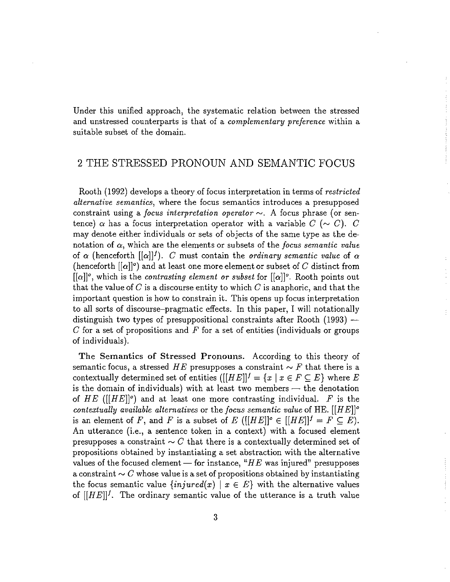Under this unified approach, the systematic relation between the stressed and unstressed counterparts is that of a *complementary preference* within a suitable subset of the domain.

#### 2 THE STRESSED PRONOUN AND SEMANTIC FOCUS

Rooth (1992) develops a theory of focus interpretation in terms of restricted *alternative semantics*, where the focus semantics introduces a presupposed constraint using a *focus interpretation operator*  $\sim$ . A focus phrase (or sentence)  $\alpha$  has a focus interpretation operator with a variable  $C(\sim C)$ . C may denote either individuals or sets of objects of the same type as the denotation of  $\alpha$ , which are the elements or subsets of the focus semantic value of  $\alpha$  (henceforth  $[[\alpha]]^f$ ). C must contain the *ordinary semantic value* of  $\alpha$ (henceforth  $[{\alpha}]^{\circ}$ ) and at least one more element or subset of C distinct from  $[[\alpha]]^o$ , which is the contrasting element or subset for  $[[\alpha]]^o$ . Rooth points out that the value of C is a discourse entity to which C is anaphoric, and that the important question is how to constrain it. This opens up focus interpretation to all sorts of discourse-pragmatic effects. In this paper, I will notationally distinguish two types of presuppositional constraints after Rooth  $(1993)$  — C for a set of propositions and F for a set of entities (individuals or groups of individuals).

The Semantics of Stressed Pronouns. According to this theory of semantic focus, a stressed HE presupposes a constraint  $\sim F$  that there is a contextually determined set of entities  $([[HE]]' = \{x \mid x \in F \subseteq E\}$  where E is the domain of individuals) with at least two members  $-$  the denotation of HE ( $\left[\left[HE\right]\right]$ <sup>o</sup>) and at least one more contrasting individual. F is the contextually available alternatives or the focus semantic value of HE.  $[HE]$ <sup>o</sup> is an element of F, and F is a subset of E  $([[HE]]^{\circ} \in [[HE]]^{\prime} = F \subseteq E$ . An utterance (i.e., a sentence token in a context) with a focused element presupposes a constraint  $\sim C$  that there is a contextually determined set of propositions obtained by instantiating a set abstraction with the alternative values of the focused element — for instance, " $HE$  was injured" presupposes a constraint  $\sim C$  whose value is a set of propositions obtained by instantiating the focus semantic value  $\{injured(x) | x \in E\}$  with the alternative values of  $[[HE]]^f$ . The ordinary semantic value of the utterance is a truth value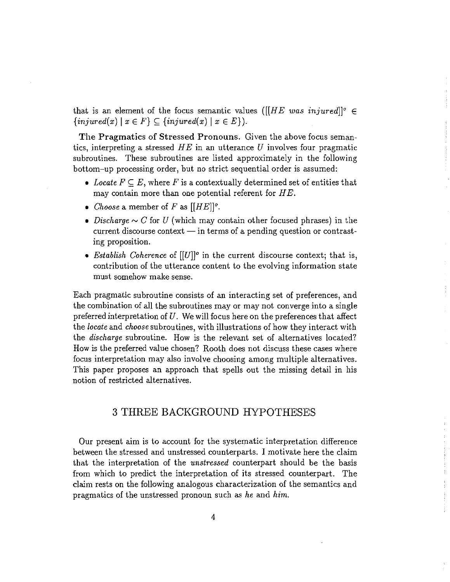that is an element of the focus semantic values ([[HE was injured]]<sup>o</sup>  $\in$  $\{injured(x) \mid x \in F\} \subseteq \{injured(x) \mid x \in E\}$ .

The Pragmatics of Stressed Pronouns. Given the above focus semantics, interpreting a stressed  $HE$  in an utterance U involves four pragmatic subroutines. These subroutines are listed approximately in the following bottom-up processing order, but no strict sequential order is assumed:

- Locate  $F \subseteq E$ , where F is a contextually determined set of entities that may contain more than one potential referent for  $HE$ .
- Choose a member of F as  $[|HE|]^\circ$ .
- Discharge  $\sim C$  for U (which may contain other focused phrases) in the current discourse context  $-$  in terms of a pending question or contrasting proposition.
- Establish Coherence of  $[[U]]^{\circ}$  in the current discourse context; that is, contribution of the utterance content to the evolving information state must somehow make sense.

Each pragmatic subroutine consists of an interacting set of preferences, and the combination of all the subroutines may or may not converge into a single preferred interpretation of  $U$ . We will focus here on the preferences that affect the *locate* and *choose* subroutines, with illustrations of how they interact with the discharge subroutine. How is the relevant set of alternatives located? How is the preferred value chosen? Rooth does not discuss these cases where focus interpretation may also involve choosing among multiple alternatives. This paper proposes an approach that spells out the missing detail in his notion of restricted alternatives.

#### 3 THREE BACKGROUND HYPOTHESES

Our present aim is to account for the systematic interpretation difference between the stressed and unstressed counterparts. I motivate here the claim that the interpretation of the *unstressed* counterpart should be the basis from which to predict the interpretation of its stressed counterpart. The claim rests on the following analogous characterization of the semantics and pragmatics of the unstressed pronoun such as he and him.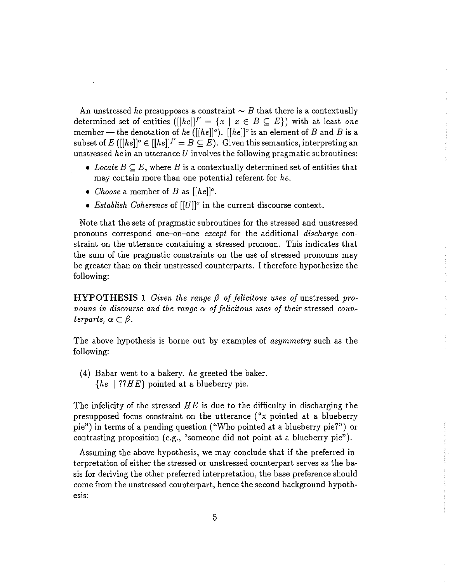An unstressed he presupposes a constraint  $\sim B$  that there is a contextually determined set of entities ([[he]]<sup> $f' = \{x \mid x \in B \subseteq E\}$ ] with at least one</sup> member — the denotation of he ([[he]]<sup>o</sup>). [[he]]<sup>o</sup> is an element of B and B is a subset of E ([[he]]<sup>o</sup>  $\in$  [[he]]<sup>f'</sup> = B  $\subseteq$  E). Given this semantics, interpreting an unstressed he in an utterance  $U$  involves the following pragmatic subroutines:

- Locate  $B \subseteq E$ , where B is a contextually determined set of entities that may contain more than one potential referent for  $he$ .
- *Choose* a member of B as  $[[he]]^o$ .
- Establish Coherence of  $[[U]]^{\circ}$  in the current discourse context.

Note that the sets of pragmatic subroutines for the stressed and unstressed pronouns correspond one-on-one except for the additional discharge constraint on the utterance containing a stressed pronoun. This indicates that the sum of the pragmatic constraints on the use of stressed pronouns may be greater than on their unstressed counterparts. I therefore hypothesize the following:

**HYPOTHESIS 1** Given the range  $\beta$  of felicitous uses of unstressed pronouns in discourse and the range  $\alpha$  of felicitous uses of their stressed counterparts,  $\alpha \subset \beta$ .

The above hypothesis is borne out by examples of *asymmetry* such as the following:

 $(4)$  Babar went to a bakery. he greeted the baker.  $\{he \mid ??HE\}$  pointed at a blueberry pie.

The infelicity of the stressed  $HE$  is due to the difficulty in discharging the presupposed focus constraint on the utterance ("x pointed at a blueberry pie") in terms of a pending question ("Who pointed at a blueberry pie?") or contrasting proposition (e.g., "someone did not point at a blueberry pie").

Assuming the above hypothesis, we may conclude that if the preferred interpretation of either the stressed or unstressed counterpart serves as the basis for deriving the other preferred interpretation, the base preference should come from the unstressed counterpart, hence the second background hypothesis: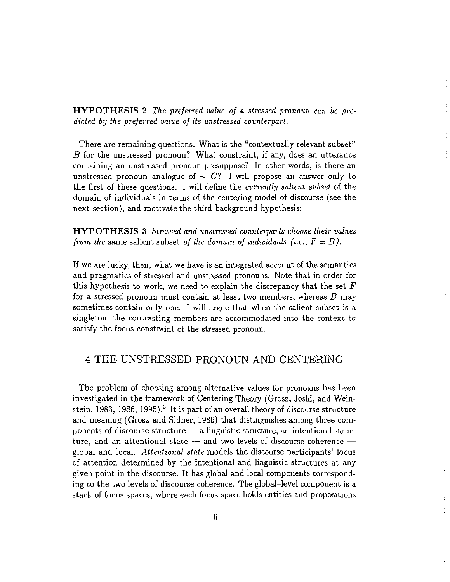**HYPOTHESIS 2** The preferred value of a stressed pronoun can be predicted by the preferred value of its unstressed counterpart.

There are remaining questions. What is the "contextually relevant subset" B for the unstressed pronoun? What constraint, if any, does an utterance containing an unstressed pronoun presuppose? In other words, is there an unstressed pronoun analogue of  $\sim C$ ? I will propose an answer only to the first of these questions. I will define the *currently salient subset* of the domain of individuals in terms of the centering model of discourse (see the next section), and motivate the third background hypothesis:

**HYPOTHESIS 3** Stressed and unstressed counterparts choose their values from the same salient subset of the domain of individuals (i.e.,  $F = B$ ).

If we are lucky, then, what we have is an integrated account of the semantics and pragmatics of stressed and unstressed pronouns. Note that in order for this hypothesis to work, we need to explain the discrepancy that the set  $F$ for a stressed pronoun must contain at least two members, whereas  $B$  may sometimes contain only one. I will argue that when the salient subset is a singleton, the contrasting members are accommodated into the context to satisfy the focus constraint of the stressed pronoun.

### 4 THE UNSTRESSED PRONOUN AND CENTERING

The problem of choosing among alternative values for pronouns has been investigated in the framework of Centering Theory (Grosz, Joshi, and Weinstein, 1983, 1986, 1995).<sup>2</sup> It is part of an overall theory of discourse structure and meaning (Grosz and Sidner, 1986) that distinguishes among three components of discourse structure - a linguistic structure, an intentional structure, and an attentional state  $-$  and two levels of discourse coherence  $$ global and local. Attentional state models the discourse participants' focus of attention determined by the intentional and linguistic structures at any given point in the discourse. It has global and local components corresponding to the two levels of discourse coherence. The global-level component is a stack of focus spaces, where each focus space holds entities and propositions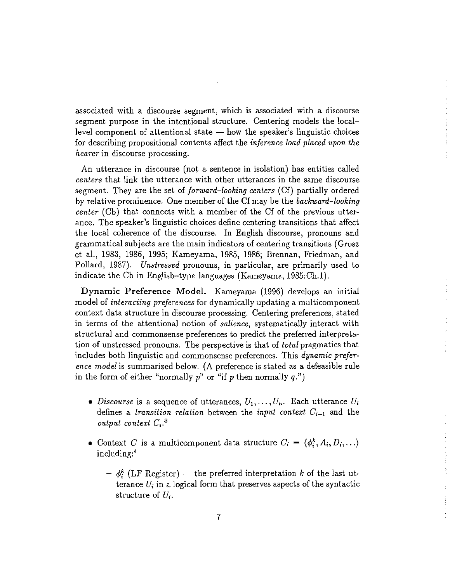associated with a discourse segment, which is associated with a discourse segment purpose in the intentional structure. Centering models the locallevel component of attentional state  $-$  how the speaker's linguistic choices for describing propositional contents affect the *inference load placed upon the* hearer in discourse processing.

An utterance in discourse (not a sentence in isolation) has entities called *centers* that link the utterance with other utterances in the same discourse segment. They are the set of *forward–looking centers* (Cf) partially ordered by relative prominence. One member of the Cf may be the backward-looking center (Cb) that connects with a member of the Cf of the previous utterance. The speaker's linguistic choices define centering transitions that affect the local coherence of the discourse. In English discourse, pronouns and grammatical subjects are the main indicators of centering transitions (Grosz et al., 1983, 1986, 1995; Kameyama, 1985, 1986; Brennan, Friedman, and Pollard, 1987). Unstressed pronouns, in particular, are primarily used to indicate the Cb in English-type languages (Kameyama, 1985:Ch.1).

Dynamic Preference Model. Kameyama (1996) develops an initial model of *interacting preferences* for dynamically updating a multicomponent context data structure in discourse processing. Centering preferences, stated in terms of the attentional notion of *salience*, systematically interact with structural and commonsense preferences to predict the preferred interpretation of unstressed pronouns. The perspective is that of *total* pragmatics that includes both linguistic and commonsense preferences. This *dynamic prefer*ence model is summarized below. (A preference is stated as a defeasible rule in the form of either "normally  $p$ " or "if p then normally  $q$ .")

- Discourse is a sequence of utterances,  $U_1, \ldots, U_n$ . Each utterance  $U_i$ defines a *transition relation* between the *input context*  $C_{i-1}$  and the output context  $C_i$ .<sup>3</sup>
- Context C is a multicomponent data structure  $C_i = \langle \phi_i^k, A_i, D_i, \ldots \rangle$ including:4
	- $-\phi_i^k$  (LF Register) the preferred interpretation k of the last utterance  $U_i$  in a logical form that preserves aspects of the syntactic structure of  $U_i$ .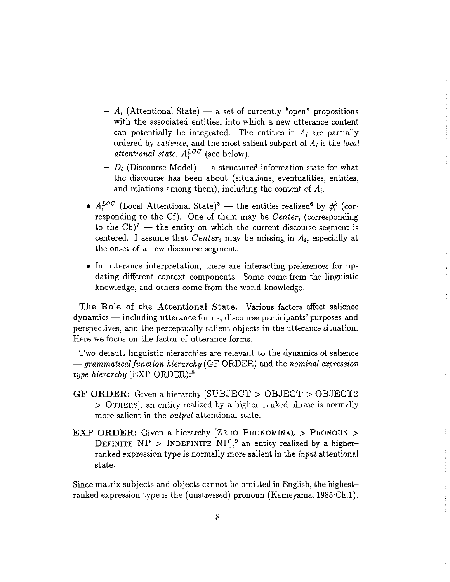- A. (Attentional State) a set of currently "open" propositions with the associated entities, into which a new utterance content can potentially be integrated. The entities in  $A_i$  are partially ordered by salience, and the most salient subpart of  $A_i$  is the local attentional state,  $A_i^{LOC}$  (see below).
- $D_i$  (Discourse Model) a structured information state for what the discourse has been about (situations, eventualities, entities, and relations among them), including the content of  $A_i$ .
- $A_i^{LOC}$  (Local Attentional State)<sup>5</sup> the entities realized<sup>6</sup> by  $\phi_i^k$  (corresponding to the Cf). One of them may be Center, (corresponding to the  $Cb)^7$  — the entity on which the current discourse segment is centered. I assume that Center<sub>i</sub> may be missing in  $A_i$ , especially at the onset of a new discourse segment.
- In utterance interpretation, there are interacting preferences for updating different context components. Some come from the linguistic knowledge, and others come from the world knowledge.

The Role of the Attentional State. Various factors affect salience dynamics — including utterance forms, discourse participants' purposes and perspectives, and the perceptually salient objects in the utterance situation. Here we focus on the factor of utterance forms.

Two default linguistic hierarchies are relevant to the dynamics of salience  $-$  grammatical function hierarchy (GF ORDER) and the nominal expression type hierarchy  $(EXP \ ORDER):$ <sup>8</sup>

- GF ORDER: Given a hierarchy [SUBJECT > OBJECT > OBJECT2 > OTHERS, an entity realized by a higher-ranked phrase is normally more salient in the *output* attentional state.
- EXP ORDER: Given a hierarchy [ZERO PRONOMINAL > PRONOUN > DEFINITE  $NP$  > INDEFINITE  $NP$ ,<sup>9</sup> an entity realized by a higherranked expression type is normally more salient in the *input* attentional state.

Since matrix subjects and objects cannot be omitted in English, the highestranked expression type is the (unstressed) pronoun (Kameyama, 1985:Ch.1).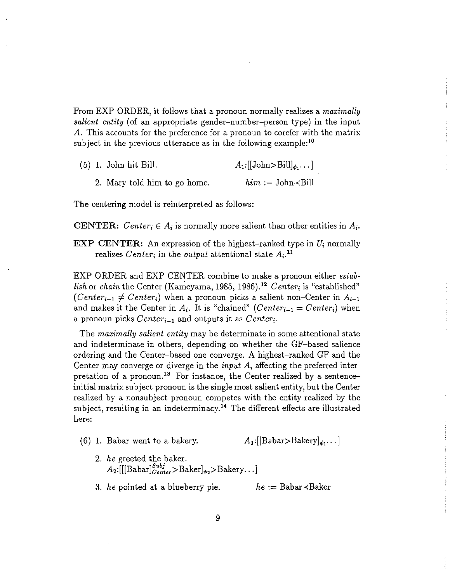From EXP ORDER, it follows that a pronoun normally realizes a *maximally salient entity* (of an appropriate gender-number-person type) in the input A. This accounts for the preference for a pronoun to corefer with the matrix subject in the previous utterance as in the following example:<sup>10</sup>

|  | $(5)$ 1. John hit Bill.      | $A_1:[[John>Bill]_{\phi_1}]$ |
|--|------------------------------|------------------------------|
|  | 2. Mary told him to go home. | $him := John \prec Bill$     |

The centering model is reinterpreted as follows:

**CENTER:** Center<sub>i</sub>  $\in$  A<sub>i</sub> is normally more salient than other entities in A<sub>i</sub>.

**EXP CENTER:** An expression of the highest-ranked type in  $U_i$  normally realizes Center, in the output attentional state  $A_i$ .<sup>11</sup>

EXP ORDER and EXP CENTER combine to make a pronoun either establish or chain the Center (Kameyama, 1985, 1986).<sup>12</sup> Center<sub>i</sub> is "established"  $(Center_{i-1} \neq Center_i)$  when a pronoun picks a salient non-Center in  $A_{i-1}$ and makes it the Center in  $A_i$ . It is "chained" (Center<sub>i-1</sub> = Center<sub>i</sub>) when a pronoun picks  $Center_{i-1}$  and outputs it as  $Center_i$ .

The maximally salient entity may be determinate in some attentional state and indeterminate in others, depending on whether the GF-based salience ordering and the Center-based one converge. A highest-ranked GF and the Center may converge or diverge in the *input A*, affecting the preferred interpretation of a pronoun.<sup>13</sup> For instance, the Center realized by a sentenceinitial matrix subject pronoun is the single most salient entity, but the Center realized by a nonsubject pronoun competes with the entity realized by the subject, resulting in an indeterminacy.<sup>14</sup> The different effects are illustrated here:

- $A_1:[[Babar>Bakery]_{\phi_1}...]$  $(6)$  1. Babar went to a bakery.
	- 2. he greeted the baker.<br>  $A_2:[[\text{Babar}]_{Center}^{Subj} > \text{Baker}]_{\phi_2} > \text{Bakery...}$
	- 3. he pointed at a blueberry pie.  $he :=$  Babar $\prec$ Baker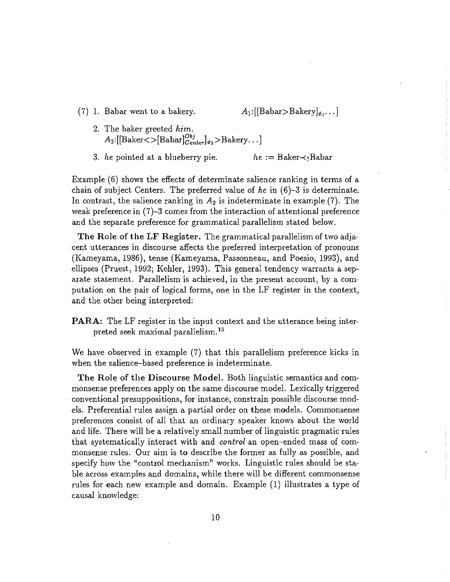(7) 1. Babar went to a bakery.

 $A_1:[[Babar>Bakery]_{\phi_1}...]$ 

- 2. The baker greeted him.  $A_2:[[Baker>[Babar]_{Center}^{Obj}]_{\phi_2} >Bakery...]$
- 3. he pointed at a blueberry pie.  $he := Baker \prec_? Babar$

Example (6) shows the effects of determinate salience ranking in terms of a chain of subject Centers. The preferred value of he in  $(6)-3$  is determinate. In contrast, the salience ranking in  $A_2$  is indeterminate in example (7). The weak preference in  $(7)-3$  comes from the interaction of attentional preference and the separate preference for grammatical parallelism stated below.

The Role of the LF Register. The grammatical parallelism of two adjacent utterances in discourse affects the preferred interpretation of pronouns (Kameyama, 1986), tense (Kameyama, Passonneau, and Poesio, 1993), and ellipses (Pruest, 1992; Kehler, 1993). This general tendency warrants a separate statement. Parallelism is achieved, in the present account, by a computation on the pair of logical forms, one in the LF register in the context, and the other being interpreted:

**PARA:** The LF register in the input context and the utterance being interpreted seek maximal parallelism.<sup>15</sup>

We have observed in example (7) that this parallelism preference kicks in when the salience-based preference is indeterminate.

The Role of the Discourse Model. Both linguistic semantics and commonsense preferences apply on the same discourse model. Lexically triggered conventional presuppositions, for instance, constrain possible discourse models. Preferential rules assign a partial order on these models. Commonsense preferences consist of all that an ordinary speaker knows about the world and life. There will be a relatively small number of linguistic pragmatic rules that systematically interact with and *control* an open-ended mass of commonsense rules. Our aim is to describe the former as fully as possible, and specify how the "control mechanism" works. Linguistic rules should be stable across examples and domains, while there will be different commonsense rules for each new example and domain. Example (1) illustrates a type of causal knowledge: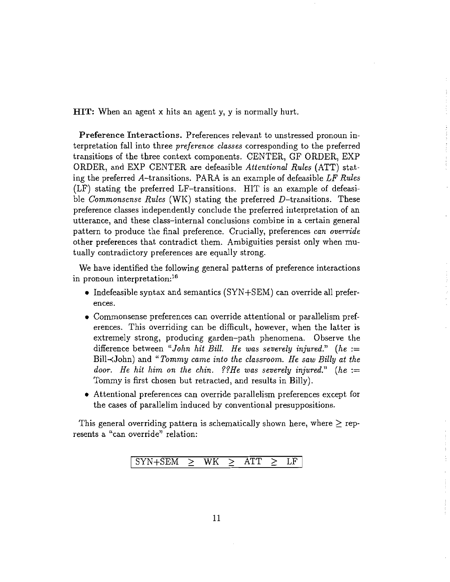HIT: When an agent x hits an agent y, y is normally hurt.

Preference Interactions. Preferences relevant to unstressed pronoun interpretation fall into three *preference classes* corresponding to the preferred transitions of the three context components. CENTER, GF ORDER, EXP ORDER, and EXP CENTER are defeasible Attentional Rules (ATT) stating the preferred A-transitions. PARA is an example of defeasible LF Rules (LF) stating the preferred LF-transitions. HIT is an example of defeasible Commonsense Rules (WK) stating the preferred  $D$ -transitions. These preference classes independently conclude the preferred interpretation of an utterance, and these class-internal conclusions combine in a certain general pattern to produce the final preference. Crucially, preferences can override other preferences that contradict them. Ambiguities persist only when mutually contradictory preferences are equally strong.

We have identified the following general patterns of preference interactions in pronoun interpretation:<sup>16</sup>

- Indefeasible syntax and semantics  $(SYN+SEM)$  can override all preferences.
- Commonsense preferences can override attentional or parallelism preferences. This overriding can be difficult, however, when the latter is extremely strong, producing garden-path phenomena. Observe the difference between "John hit Bill. He was severely injured." (he := Bill $\prec$ John) and "Tommy came into the classroom. He saw Billy at the door. He hit him on the chin. ?? He was severely injured."  $(he :=$ Tommy is first chosen but retracted, and results in Billy).
- Attentional preferences can override parallelism preferences except for the cases of parallelim induced by conventional presuppositions.

This general overriding pattern is schematically shown here, where  $\geq$  represents a "can override" relation:

> $SYN + SEM$ WK **ATT** LF  $\geq$  $\geq$  $\geq$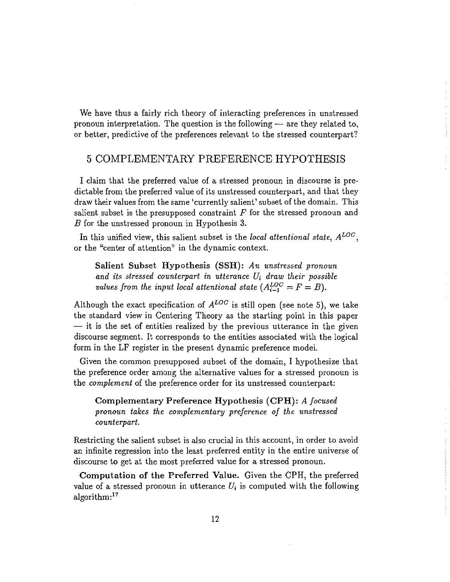We have thus a fairly rich theory of interacting preferences in unstressed pronoun interpretation. The question is the following  $-$  are they related to, or better, predictive of the preferences relevant to the stressed counterpart?

### 5 COMPLEMENTARY PREFERENCE HYPOTHESIS

I claim that the preferred value of a stressed pronoun in discourse is predictable from the preferred value of its unstressed counterpart, and that they draw their values from the same 'currently salient' subset of the domain. This salient subset is the presupposed constraint  $F$  for the stressed pronoun and  $B$  for the unstressed pronoun in Hypothesis 3.

In this unified view, this salient subset is the local attentional state,  $A^{LOC}$ , or the "center of attention" in the dynamic context.

Salient Subset Hypothesis (SSH): An unstressed pronoun and its stressed counterpart in utterance  $U_i$  draw their possible values from the input local attentional state  $(A_{i-1}^{LOC} = F = B)$ .

Although the exact specification of  $A^{LOC}$  is still open (see note 5), we take the standard view in Centering Theory as the starting point in this paper - it is the set of entities realized by the previous utterance in the given discourse segment. It corresponds to the entities associated with the logical form in the LF register in the present dynamic preference model.

Given the common presupposed subset of the domain, I hypothesize that the preference order among the alternative values for a stressed pronoun is the *complement* of the preference order for its unstressed counterpart:

Complementary Preference Hypothesis (CPH): A focused pronoun takes the complementary preference of the unstressed counterpart.

Restricting the salient subset is also crucial in this account, in order to avoid an infinite regression into the least preferred entity in the entire universe of discourse to get at the most preferred value for a stressed pronoun.

Computation of the Preferred Value. Given the CPH, the preferred value of a stressed pronoun in utterance  $U_i$  is computed with the following algorithm:<sup>17</sup>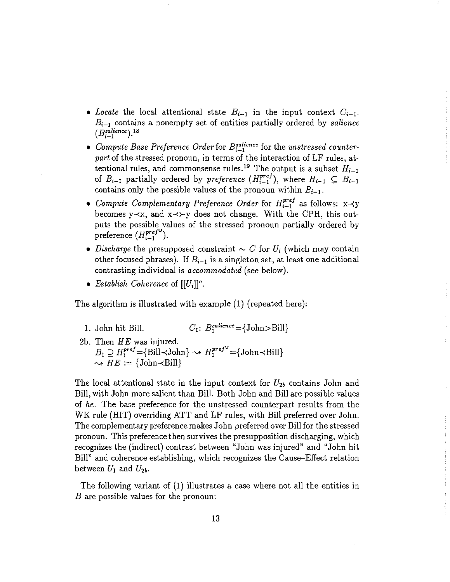- Locate the local attentional state  $B_{i-1}$  in the input context  $C_{i-1}$ .  $B_{i-1}$  contains a nonempty set of entities partially ordered by salience  $(B_{i-1}^{salience}).^{18}$
- Compute Base Preference Order for  $B_{i-1}^{salience}$  for the unstressed counterpart of the stressed pronoun, in terms of the interaction of LF rules, attentional rules, and commonsense rules.<sup>19</sup> The output is a subset  $H_{i-1}$ of  $B_{i-1}$  partially ordered by *preference*  $(H_{i-1}^{pref})$ , where  $H_{i-1} \subseteq B_{i-1}$ contains only the possible values of the pronoun within  $B_{i-1}$ .
- Compute Complementary Preference Order for  $H_{i-1}^{pref}$  as follows:  $x \prec y$ becomes  $y \prec x$ , and  $x \prec y$  does not change. With the CPH, this outputs the possible values of the stressed pronoun partially ordered by preference  $(H_{i-1}^{pref^{\mathbf{U}}}).$
- Discharge the presupposed constraint  $\sim C$  for  $U_i$  (which may contain other focused phrases). If  $B_{i-1}$  is a singleton set, at least one additional contrasting individual is *accommodated* (see below).
- Establish Coherence of  $[[U_i]]^o$ .

The algorithm is illustrated with example (1) (repeated here):

- $C_1$ :  $B_1^{salience} = \{John > Bill\}$ 1. John hit Bill.
- 2b. Then  $HE$  was injured.  $B_1 \supseteq H_1^{pref} = \{ \text{Bill} \prec \text{John} \} \sim H_1^{pref} = \{ \text{John} \prec \text{Bill} \}$  $\rightsquigarrow HE := \{\text{John}\prec\text{Bill}\}$

The local attentional state in the input context for  $U_{2b}$  contains John and Bill, with John more salient than Bill. Both John and Bill are possible values of he. The base preference for the unstressed counterpart results from the WK rule (HIT) overriding ATT and LF rules, with Bill preferred over John. The complementary preference makes John preferred over Bill for the stressed pronoun. This preference then survives the presupposition discharging, which recognizes the (indirect) contrast between "John was injured" and "John hit Bill" and coherence establishing, which recognizes the Cause–Effect relation between  $U_1$  and  $U_{2b}$ .

The following variant of (1) illustrates a case where not all the entities in  $B$  are possible values for the pronoun: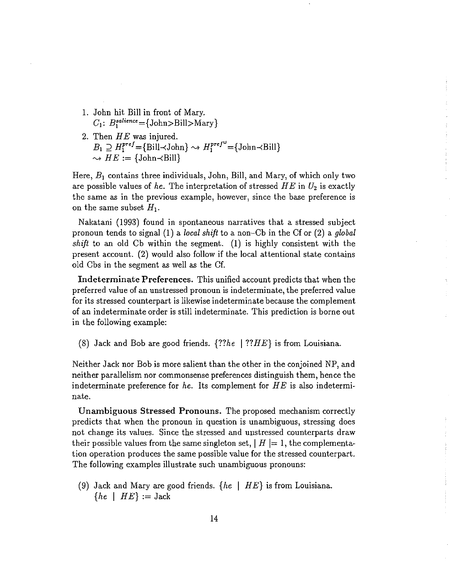- 1. John hit Bill in front of Mary.  $C_1$ :  $B_1^{salience} = \{John > Bill > Mary\}$
- 2. Then  $HE$  was injured.  $B_1 \supseteq H_1^{pref} = {\text{Bill-John}} \leadsto H_1^{pref} = {\text{John-Bill}}$  $\rightsquigarrow HE := \{\text{John}\prec \text{Bill}\}\$

Here,  $B_1$  contains three individuals, John, Bill, and Mary, of which only two are possible values of he. The interpretation of stressed  $HE$  in  $U_2$  is exactly the same as in the previous example, however, since the base preference is on the same subset  $H_1$ .

Nakatani (1993) found in spontaneous narratives that a stressed subject pronoun tends to signal (1) a local shift to a non-Cb in the Cf or (2) a global *shift* to an old Cb within the segment. (1) is highly consistent with the present account. (2) would also follow if the local attentional state contains old Cbs in the segment as well as the Cf.

Indeterminate Preferences. This unified account predicts that when the preferred value of an unstressed pronoun is indeterminate, the preferred value for its stressed counterpart is likewise indeterminate because the complement of an indeterminate order is still indeterminate. This prediction is borne out in the following example:

(8) Jack and Bob are good friends.  $\{??he \mid ??HE\}$  is from Louisiana.

Neither Jack nor Bob is more salient than the other in the conjoined NP, and neither parallelism nor commonsense preferences distinguish them, hence the indeterminate preference for he. Its complement for  $HE$  is also indeterminate.

Unambiguous Stressed Pronouns. The proposed mechanism correctly predicts that when the pronoun in question is unambiguous, stressing does not change its values. Since the stressed and unstressed counterparts draw their possible values from the same singleton set,  $\mid H \mid = 1$ , the complementation operation produces the same possible value for the stressed counterpart. The following examples illustrate such unambiguous pronouns:

(9) Jack and Mary are good friends.  $\{he \mid HE\}$  is from Louisiana.  $\{he \mid HE\} := \text{Jack}$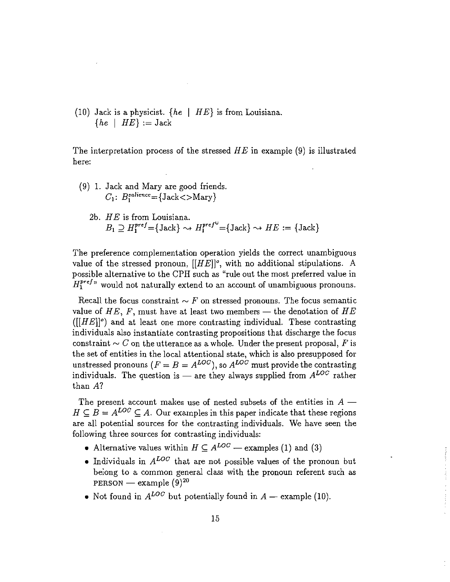(10) Jack is a physicist.  $\{he \mid HE\}$  is from Louisiana.  $\{he \mid HE\} := \text{Jack}$ 

The interpretation process of the stressed  $HE$  in example (9) is illustrated here:

- (9) 1. Jack and Mary are good friends.  $C_1$ :  $B_1^{salience} = \{Jack < >Mary\}$ 
	- 2b.  $HE$  is from Louisiana.  $B_1 \supseteq H_1^{pref} = {\text{Jack}} \rightarrow H_1^{pref} = {\text{Jack}} \rightarrow HE := {\text{Jack}}$

The preference complementation operation yields the correct unambiguous value of the stressed pronoun,  $[[HE]]^{\circ}$ , with no additional stipulations. A possible alternative to the CPH such as "rule out the most preferred value in  $H_1^{pref}$  would not naturally extend to an account of unambiguous pronouns.

Recall the focus constraint  $\sim F$  on stressed pronouns. The focus semantic value of HE, F, must have at least two members – the denotation of HE  $([[HE]]<sup>o</sup>$  and at least one more contrasting individual. These contrasting individuals also instantiate contrasting propositions that discharge the focus constraint  $\sim C$  on the utterance as a whole. Under the present proposal, F is the set of entities in the local attentional state, which is also presupposed for unstressed pronouns ( $F = B = A^{LOC}$ ), so  $A^{LOC}$  must provide the contrasting individuals. The question is — are they always supplied from  $A^{LOC}$  rather than  $A$ ?

The present account makes use of nested subsets of the entities in  $A$  –  $H \subseteq B = A^{LOC} \subseteq A$ . Our examples in this paper indicate that these regions are all potential sources for the contrasting individuals. We have seen the following three sources for contrasting individuals:

- Alternative values within  $H \subseteq A^{LOC}$  examples (1) and (3)
- Individuals in  $A^{LOC}$  that are not possible values of the pronoun but belong to a common general class with the pronoun referent such as PERSON — example  $(9)^{20}$
- Not found in  $A^{LOC}$  but potentially found in  $A$  example (10).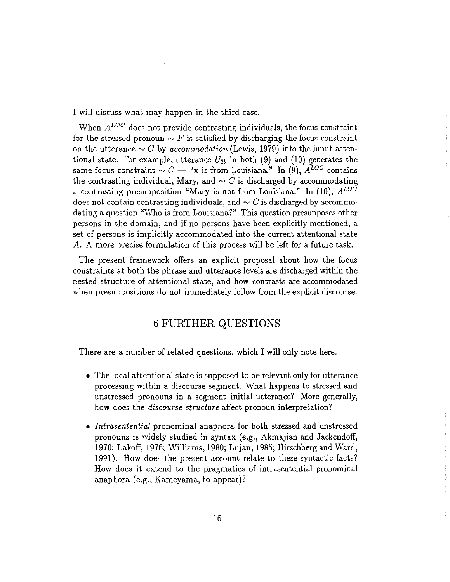I will discuss what may happen in the third case.

When  $A^{LOC}$  does not provide contrasting individuals, the focus constraint for the stressed pronoun  $\sim F$  is satisfied by discharging the focus constraint on the utterance  $\sim C$  by accommodation (Lewis, 1979) into the input attentional state. For example, utterance  $U_{2b}$  in both (9) and (10) generates the same focus constraint  $\sim C$  — "x is from Louisiana." In (9),  $A^{LOC}$  contains the contrasting individual, Mary, and  $\sim C$  is discharged by accommodating a contrasting presupposition "Mary is not from Louisiana." In (10),  $A^{LOC}$ does not contain contrasting individuals, and  $\sim C$  is discharged by accommodating a question "Who is from Louisiana?" This question presupposes other persons in the domain, and if no persons have been explicitly mentioned, a set of persons is implicitly accommodated into the current attentional state A. A more precise formulation of this process will be left for a future task.

The present framework offers an explicit proposal about how the focus constraints at both the phrase and utterance levels are discharged within the nested structure of attentional state, and how contrasts are accommodated when presuppositions do not immediately follow from the explicit discourse.

## **6 FURTHER QUESTIONS**

There are a number of related questions, which I will only note here.

- The local attentional state is supposed to be relevant only for utterance processing within a discourse segment. What happens to stressed and unstressed pronouns in a segment-initial utterance? More generally, how does the *discourse structure* affect pronoun interpretation?
- Intrasentential pronominal anaphora for both stressed and unstressed pronouns is widely studied in syntax (e.g., Akmajian and Jackendoff, 1970; Lakoff, 1976; Williams, 1980; Lujan, 1985; Hirschberg and Ward, 1991). How does the present account relate to these syntactic facts? How does it extend to the pragmatics of intrasentential pronominal anaphora (e.g., Kameyama, to appear)?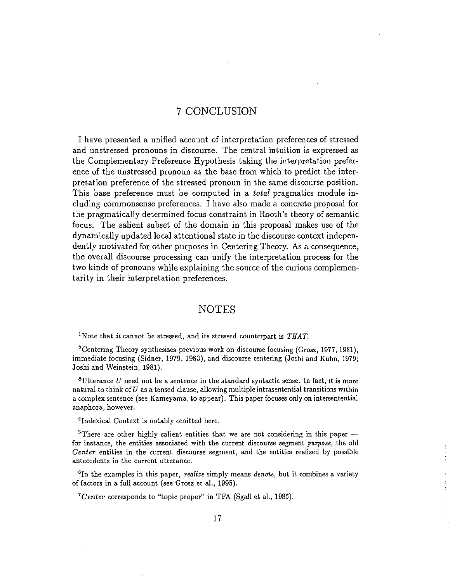### 7 CONCLUSION

I have presented a unified account of interpretation preferences of stressed and unstressed pronouns in discourse. The central intuition is expressed as the Complementary Preference Hypothesis taking the interpretation preference of the unstressed pronoun as the base from which to predict the interpretation preference of the stressed pronoun in the same discourse position. This base preference must be computed in a *total* pragmatics module including commonsense preferences. I have also made a concrete proposal for the pragmatically determined focus constraint in Rooth's theory of semantic focus. The salient subset of the domain in this proposal makes use of the dynamically updated local attentional state in the discourse context independently motivated for other purposes in Centering Theory. As a consequence, the overall discourse processing can unify the interpretation process for the two kinds of pronouns while explaining the source of the curious complementarity in their interpretation preferences.

#### **NOTES**

<sup>1</sup>Note that *it* cannot be stressed, and its stressed counterpart is  $THAT$ .

<sup>2</sup> Centering Theory synthesizes previous work on discourse focusing (Grosz, 1977, 1981), immediate focusing (Sidner, 1979, 1983), and discourse centering (Joshi and Kuhn, 1979; Joshi and Weinstein, 1981).

<sup>3</sup>Utterance U need not be a sentence in the standard syntactic sense. In fact, it is more natural to think of  $U$  as a tensed clause, allowing multiple intrasentential transitions within a complex sentence (see Kameyama, to appear). This paper focuses only on intersentential anaphora, however.

<sup>4</sup>Indexical Context is notably omitted here.

<sup>5</sup>There are other highly salient entities that we are not considering in this paper for instance, the entities associated with the current discourse segment purpose, the old Center entities in the current discourse segment, and the entities realized by possible antecedents in the current utterance.

 ${}^6$ In the examples in this paper, *realize* simply means *denote*, but it combines a variety of factors in a full account (see Grosz et al., 1995).

 ${}^{7}Center$  corresponds to "topic proper" in TFA (Sgall et al., 1986).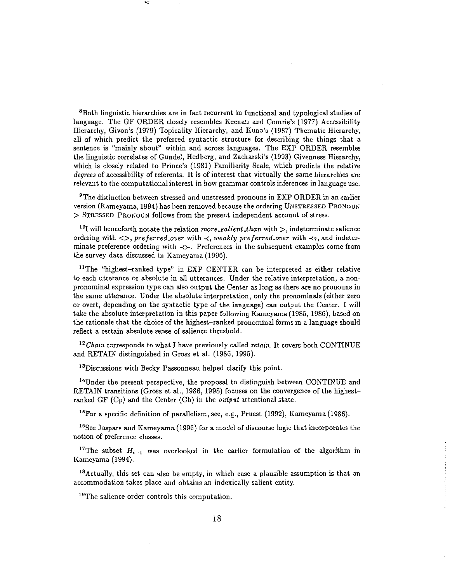<sup>8</sup>Both linguistic hierarchies are in fact recurrent in functional and typological studies of language. The GF ORDER closely resembles Keenan and Comrie's (1977) Accessibility Hierarchy, Givon's (1979) Topicality Hierarchy, and Kuno's (1987) Thematic Hierarchy, all of which predict the preferred syntactic structure for describing the things that a sentence is "mainly about" within and across languages. The EXP ORDER resembles the linguistic correlates of Gundel, Hedberg, and Zacharski's (1993) Givenness Hierarchy, which is closely related to Prince's (1981) Familiarity Scale, which predicts the relative *degrees* of accessibility of referents. It is of interest that virtually the same hierarchies are relevant to the computational interest in how grammar controls inferences in language use.

 $9$ The distinction between stressed and unstressed pronouns in EXP ORDER in an earlier version (Kamevama, 1994) has been removed because the ordering UNSTRESSED PRONOUN > STRESSED PRONOUN follows from the present independent account of stress.

<sup>10</sup>I will henceforth notate the relation *more\_salient\_than* with  $>$ , indeterminate salience ordering with  $\langle \rangle$ , preferred over with  $\prec$ , weakly preferred over with  $\prec_?$ , and indeterminate preference ordering with  $\prec \succ$ . Preferences in the subsequent examples come from the survey data discussed in Kameyama (1996).

<sup>11</sup>The "highest-ranked type" in EXP CENTER can be interpreted as either relative to each utterance or absolute in all utterances. Under the relative interpretation, a nonpronominal expression type can also output the Center as long as there are no pronouns in the same utterance. Under the absolute interpretation, only the pronominals (either zero or overt, depending on the syntactic type of the language) can output the Center. I will take the absolute interpretation in this paper following Kameyama (1985, 1986), based on the rationale that the choice of the highest-ranked pronominal forms in a language should reflect a certain absolute sense of salience threshold.

<sup>12</sup> Chain corresponds to what I have previously called retain. It covers both CONTINUE and RETAIN distinguished in Grosz et al. (1986, 1995).

<sup>13</sup>Discussions with Becky Passonneau helped clarify this point.

<sup>14</sup>Under the present perspective, the proposal to distinguish between CONTINUE and RETAIN transitions (Grosz et al., 1986, 1995) focuses on the convergence of the highestranked GF  $(C_p)$  and the Center  $(C_b)$  in the *output* attentional state.

<sup>15</sup>For a specific definition of parallelism, see, e.g., Pruest (1992), Kameyama (1986).

<sup>16</sup>See Jaspars and Kameyama (1996) for a model of discourse logic that incorporates the notion of preference classes.

<sup>17</sup>The subset  $H_{i-1}$  was overlooked in the earlier formulation of the algorithm in Kameyama (1994).

<sup>18</sup>Actually, this set can also be empty, in which case a plausible assumption is that an accommodation takes place and obtains an indexically salient entity.

<sup>19</sup>The salience order controls this computation.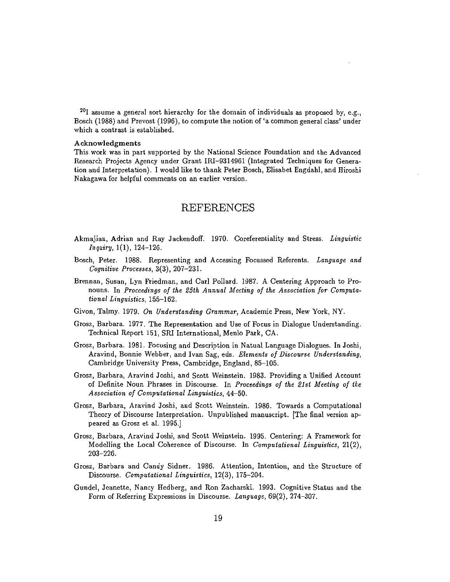$^{20}$ I assume a general sort hierarchy for the domain of individuals as proposed by, e.g., Bosch (1988) and Prevost (1996), to compute the notion of 'a common general class' under which a contrast is established.

#### Acknowledgments

This work was in part supported by the National Science Foundation and the Advanced Research Projects Agency under Grant IRI-9314961 (Integrated Techniques for Generation and Interpretation). I would like to thank Peter Bosch, Elisabet Engdahl, and Hiroshi Nakagawa for helpful comments on an earlier version.

#### **REFERENCES**

- Akmajian, Adrian and Ray Jackendoff. 1970. Coreferentiality and Stress. Linguistic  $In$ *quiry*,  $1(1)$ ,  $124-126$ .
- Bosch, Peter. 1988. Representing and Accessing Focussed Referents. Language and Cognitive Processes, 3(3), 207-231.
- Brennan, Susan, Lyn Friedman, and Carl Pollard. 1987. A Centering Approach to Pronouns. In Proceedings of the 25th Annual Meeting of the Association for Computational Linguistics, 155-162.
- Givon, Talmy. 1979. On Understanding Grammar, Academic Press, New York, NY.
- Grosz, Barbara. 1977. The Representation and Use of Focus in Dialogue Understanding. Technical Report 151, SRI International, Menlo Park, CA.
- Grosz, Barbara. 1981. Focusing and Description in Natual Language Dialogues. In Joshi, Aravind, Bonnie Webber, and Ivan Sag, eds. Elements of Discourse Understanding, Cambridge University Press, Cambridge, England, 85-105.
- Grosz, Barbara, Aravind Joshi, and Scott Weinstein. 1983. Providing a Unified Account of Definite Noun Phrases in Discourse. In Proceedings of the 21st Meeting of the Association of Computational Linguistics, 44-50.
- Grosz, Barbara, Aravind Joshi, and Scott Weinstein. 1986. Towards a Computational Theory of Discourse Interpretation. Unpublished manuscript. The final version appeared as Grosz et al. 1995.]
- Grosz, Barbara, Aravind Joshi, and Scott Weinstein. 1995. Centering: A Framework for Modelling the Local Coherence of Discourse. In Computational Linguistics, 21(2),  $203 - 226.$
- Grosz, Barbara and Candy Sidner. 1986. Attention, Intention, and the Structure of Discourse. Computational Linguistics, 12(3), 175-204.
- Gundel, Jeanette, Nancy Hedberg, and Ron Zacharski. 1993. Cognitive Status and the Form of Referring Expressions in Discourse. Language, 69(2), 274-307.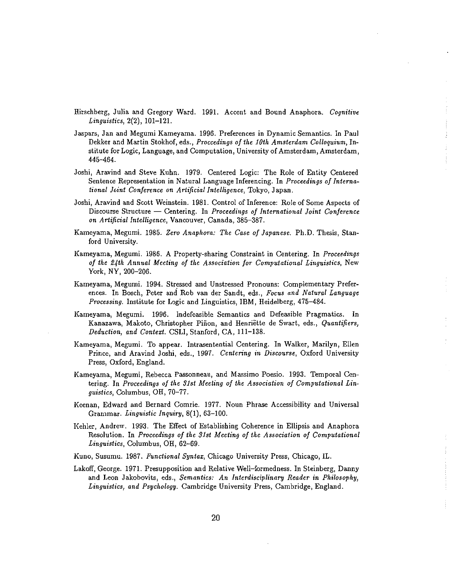- Hirschberg, Julia and Gregory Ward. 1991. Accent and Bound Anaphora. Cognitive Linguistics, 2(2), 101-121.
- Jaspars, Jan and Megumi Kameyama, 1996. Preferences in Dynamic Semantics. In Paul Dekker and Martin Stokhof, eds., Proccedings of the 10th Amsterdam Colloquium, Institute for Logic, Language, and Computation, University of Amsterdam, Amsterdam, 445-464.
- Joshi, Aravind and Steve Kuhn. 1979. Centered Logic: The Role of Entity Centered Sentence Representation in Natural Language Inferencing. In Proceedings of International Joint Conference on Artificial Intelligence, Tokyo, Japan.
- Joshi, Aravind and Scott Weinstein. 1981. Control of Inference: Role of Some Aspects of Discourse Structure  $-$  Centering. In Proceedings of International Joint Conference on Artificial Intelligence, Vancouver, Canada, 385-387.
- Kameyama, Megumi. 1985. Zero Anaphora: The Case of Japanese. Ph.D. Thesis, Stanford University.
- Kameyama, Megumi. 1986. A Property-sharing Constraint in Centering. In Proceedings of the 24th Annual Meeting of the Association for Computational Linguistics, New York, NY, 200-206.
- Kameyama, Megumi. 1994. Stressed and Unstressed Pronouns: Complementary Preferences. In Bosch, Peter and Rob van der Sandt, eds., Focus and Natural Language *Processing.* Institute for Logic and Linguistics, IBM, Heidelberg, 475–484.
- Kameyama, Megumi. 1996. Indefeasible Semantics and Defeasible Pragmatics. In Kanazawa, Makoto, Christopher Piñon, and Henriëtte de Swart, eds., Quantifiers, Deduction, and Context. CSLI, Stanford, CA, 111-138.
- Kameyama, Megumi. To appear. Intrasentential Centering. In Walker, Marilyn, Ellen Prince, and Aravind Joshi, eds., 1997. Centering in Discourse, Oxford University Press, Oxford, England.
- Kameyama, Megumi, Rebecca Passonneau, and Massimo Poesio. 1993. Temporal Centering. In Proceedings of the 31st Meeting of the Association of Computational Linguistics, Columbus, OH, 70-77.
- Keenan, Edward and Bernard Comrie. 1977. Noun Phrase Accessibility and Universal Grammar. Linguistic Inquiry, 8(1), 63-100.
- Kehler, Andrew. 1993. The Effect of Establishing Coherence in Ellipsis and Anaphora Resolution. In Proceedings of the 31st Meeting of the Association of Computational *Linguistics*, Columbus, OH, 62-69.
- Kuno, Susumu. 1987. Functional Syntax, Chicago University Press, Chicago, IL.
- Lakoff, George. 1971. Presupposition and Relative Well-formedness. In Steinberg, Danny and Leon Jakobovits, eds., Semantics: An Interdisciplinary Reader in Philosophy, Linguistics, and Psychology. Cambridge University Press, Cambridge, England.